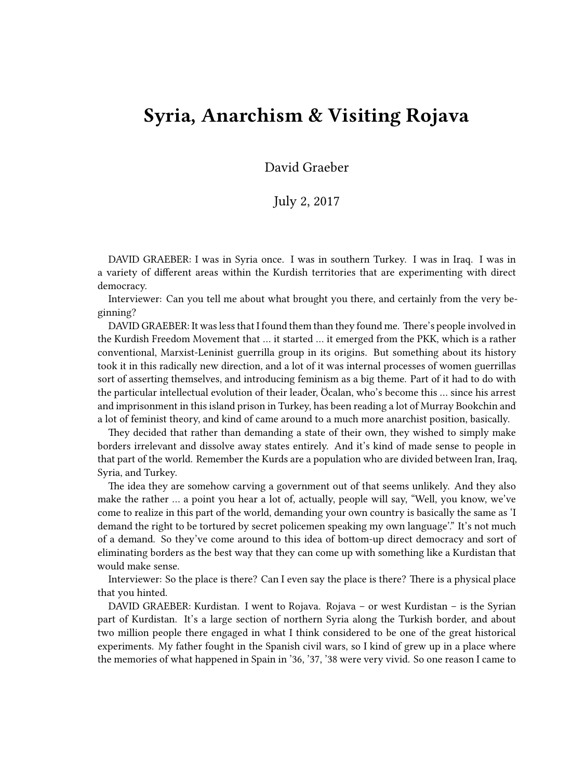## **Syria, Anarchism & Visiting Rojava**

David Graeber

## July 2, 2017

DAVID GRAEBER: I was in Syria once. I was in southern Turkey. I was in Iraq. I was in a variety of different areas within the Kurdish territories that are experimenting with direct democracy.

Interviewer: Can you tell me about what brought you there, and certainly from the very beginning?

DAVID GRAEBER: It was less that I found them than they found me. There's people involved in the Kurdish Freedom Movement that … it started … it emerged from the PKK, which is a rather conventional, Marxist-Leninist guerrilla group in its origins. But something about its history took it in this radically new direction, and a lot of it was internal processes of women guerrillas sort of asserting themselves, and introducing feminism as a big theme. Part of it had to do with the particular intellectual evolution of their leader, Öcalan, who's become this … since his arrest and imprisonment in this island prison in Turkey, has been reading a lot of Murray Bookchin and a lot of feminist theory, and kind of came around to a much more anarchist position, basically.

They decided that rather than demanding a state of their own, they wished to simply make borders irrelevant and dissolve away states entirely. And it's kind of made sense to people in that part of the world. Remember the Kurds are a population who are divided between Iran, Iraq, Syria, and Turkey.

The idea they are somehow carving a government out of that seems unlikely. And they also make the rather … a point you hear a lot of, actually, people will say, "Well, you know, we've come to realize in this part of the world, demanding your own country is basically the same as 'I demand the right to be tortured by secret policemen speaking my own language'." It's not much of a demand. So they've come around to this idea of bottom-up direct democracy and sort of eliminating borders as the best way that they can come up with something like a Kurdistan that would make sense.

Interviewer: So the place is there? Can I even say the place is there? There is a physical place that you hinted.

DAVID GRAEBER: Kurdistan. I went to Rojava. Rojava – or west Kurdistan – is the Syrian part of Kurdistan. It's a large section of northern Syria along the Turkish border, and about two million people there engaged in what I think considered to be one of the great historical experiments. My father fought in the Spanish civil wars, so I kind of grew up in a place where the memories of what happened in Spain in '36, '37, '38 were very vivid. So one reason I came to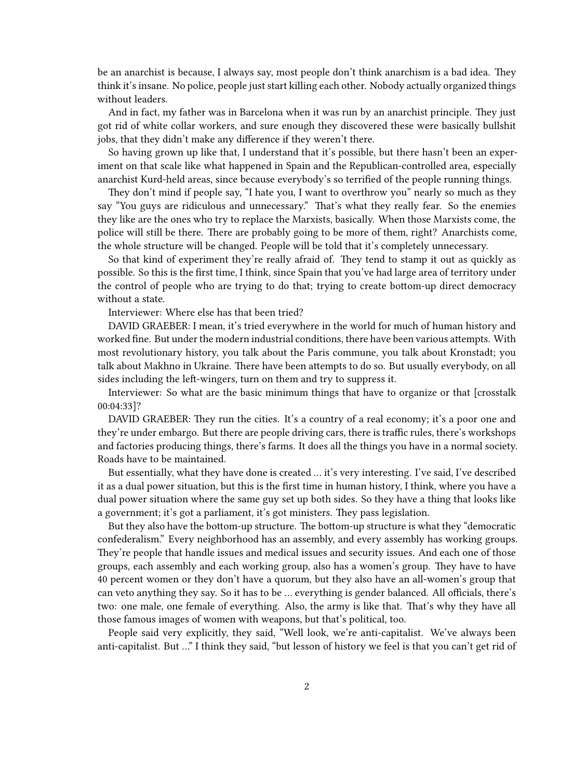be an anarchist is because, I always say, most people don't think anarchism is a bad idea. They think it's insane. No police, people just start killing each other. Nobody actually organized things without leaders.

And in fact, my father was in Barcelona when it was run by an anarchist principle. They just got rid of white collar workers, and sure enough they discovered these were basically bullshit jobs, that they didn't make any difference if they weren't there.

So having grown up like that, I understand that it's possible, but there hasn't been an experiment on that scale like what happened in Spain and the Republican-controlled area, especially anarchist Kurd-held areas, since because everybody's so terrified of the people running things.

They don't mind if people say, "I hate you, I want to overthrow you" nearly so much as they say "You guys are ridiculous and unnecessary." That's what they really fear. So the enemies they like are the ones who try to replace the Marxists, basically. When those Marxists come, the police will still be there. There are probably going to be more of them, right? Anarchists come, the whole structure will be changed. People will be told that it's completely unnecessary.

So that kind of experiment they're really afraid of. They tend to stamp it out as quickly as possible. So this is the first time, I think, since Spain that you've had large area of territory under the control of people who are trying to do that; trying to create bottom-up direct democracy without a state.

Interviewer: Where else has that been tried?

DAVID GRAEBER: I mean, it's tried everywhere in the world for much of human history and worked fine. But under the modern industrial conditions, there have been various attempts. With most revolutionary history, you talk about the Paris commune, you talk about Kronstadt; you talk about Makhno in Ukraine. There have been attempts to do so. But usually everybody, on all sides including the left-wingers, turn on them and try to suppress it.

Interviewer: So what are the basic minimum things that have to organize or that [crosstalk 00:04:33]?

DAVID GRAEBER: They run the cities. It's a country of a real economy; it's a poor one and they're under embargo. But there are people driving cars, there is traffic rules, there's workshops and factories producing things, there's farms. It does all the things you have in a normal society. Roads have to be maintained.

But essentially, what they have done is created … it's very interesting. I've said, I've described it as a dual power situation, but this is the first time in human history, I think, where you have a dual power situation where the same guy set up both sides. So they have a thing that looks like a government; it's got a parliament, it's got ministers. They pass legislation.

But they also have the bottom-up structure. The bottom-up structure is what they "democratic confederalism." Every neighborhood has an assembly, and every assembly has working groups. They're people that handle issues and medical issues and security issues. And each one of those groups, each assembly and each working group, also has a women's group. They have to have 40 percent women or they don't have a quorum, but they also have an all-women's group that can veto anything they say. So it has to be … everything is gender balanced. All officials, there's two: one male, one female of everything. Also, the army is like that. That's why they have all those famous images of women with weapons, but that's political, too.

People said very explicitly, they said, "Well look, we're anti-capitalist. We've always been anti-capitalist. But …" I think they said, "but lesson of history we feel is that you can't get rid of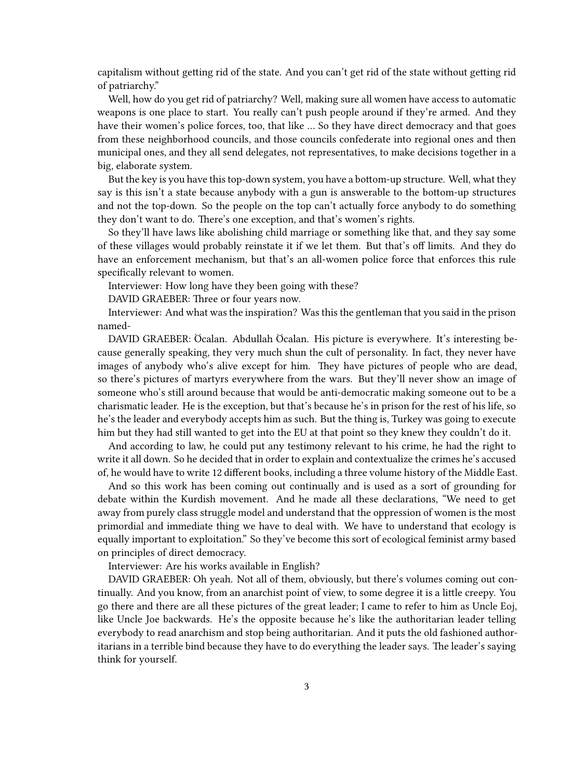capitalism without getting rid of the state. And you can't get rid of the state without getting rid of patriarchy."

Well, how do you get rid of patriarchy? Well, making sure all women have access to automatic weapons is one place to start. You really can't push people around if they're armed. And they have their women's police forces, too, that like … So they have direct democracy and that goes from these neighborhood councils, and those councils confederate into regional ones and then municipal ones, and they all send delegates, not representatives, to make decisions together in a big, elaborate system.

But the key is you have this top-down system, you have a bottom-up structure. Well, what they say is this isn't a state because anybody with a gun is answerable to the bottom-up structures and not the top-down. So the people on the top can't actually force anybody to do something they don't want to do. There's one exception, and that's women's rights.

So they'll have laws like abolishing child marriage or something like that, and they say some of these villages would probably reinstate it if we let them. But that's off limits. And they do have an enforcement mechanism, but that's an all-women police force that enforces this rule specifically relevant to women.

Interviewer: How long have they been going with these?

DAVID GRAEBER: Three or four years now.

Interviewer: And what was the inspiration? Was this the gentleman that you said in the prison named-

DAVID GRAEBER: Öcalan. Abdullah Öcalan. His picture is everywhere. It's interesting because generally speaking, they very much shun the cult of personality. In fact, they never have images of anybody who's alive except for him. They have pictures of people who are dead, so there's pictures of martyrs everywhere from the wars. But they'll never show an image of someone who's still around because that would be anti-democratic making someone out to be a charismatic leader. He is the exception, but that's because he's in prison for the rest of his life, so he's the leader and everybody accepts him as such. But the thing is, Turkey was going to execute him but they had still wanted to get into the EU at that point so they knew they couldn't do it.

And according to law, he could put any testimony relevant to his crime, he had the right to write it all down. So he decided that in order to explain and contextualize the crimes he's accused of, he would have to write 12 different books, including a three volume history of the Middle East.

And so this work has been coming out continually and is used as a sort of grounding for debate within the Kurdish movement. And he made all these declarations, "We need to get away from purely class struggle model and understand that the oppression of women is the most primordial and immediate thing we have to deal with. We have to understand that ecology is equally important to exploitation." So they've become this sort of ecological feminist army based on principles of direct democracy.

Interviewer: Are his works available in English?

DAVID GRAEBER: Oh yeah. Not all of them, obviously, but there's volumes coming out continually. And you know, from an anarchist point of view, to some degree it is a little creepy. You go there and there are all these pictures of the great leader; I came to refer to him as Uncle Eoj, like Uncle Joe backwards. He's the opposite because he's like the authoritarian leader telling everybody to read anarchism and stop being authoritarian. And it puts the old fashioned authoritarians in a terrible bind because they have to do everything the leader says. The leader's saying think for yourself.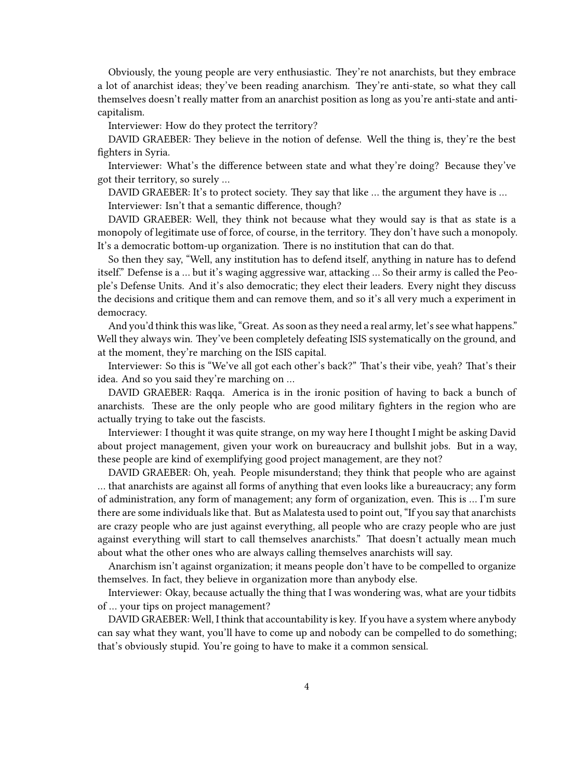Obviously, the young people are very enthusiastic. They're not anarchists, but they embrace a lot of anarchist ideas; they've been reading anarchism. They're anti-state, so what they call themselves doesn't really matter from an anarchist position as long as you're anti-state and anticapitalism.

Interviewer: How do they protect the territory?

DAVID GRAEBER: They believe in the notion of defense. Well the thing is, they're the best fighters in Syria.

Interviewer: What's the difference between state and what they're doing? Because they've got their territory, so surely …

DAVID GRAEBER: It's to protect society. They say that like ... the argument they have is ...

Interviewer: Isn't that a semantic difference, though?

DAVID GRAEBER: Well, they think not because what they would say is that as state is a monopoly of legitimate use of force, of course, in the territory. They don't have such a monopoly. It's a democratic bottom-up organization. There is no institution that can do that.

So then they say, "Well, any institution has to defend itself, anything in nature has to defend itself." Defense is a … but it's waging aggressive war, attacking … So their army is called the People's Defense Units. And it's also democratic; they elect their leaders. Every night they discuss the decisions and critique them and can remove them, and so it's all very much a experiment in democracy.

And you'd think this was like, "Great. As soon as they need a real army, let's see what happens." Well they always win. They've been completely defeating ISIS systematically on the ground, and at the moment, they're marching on the ISIS capital.

Interviewer: So this is "We've all got each other's back?" That's their vibe, yeah? That's their idea. And so you said they're marching on …

DAVID GRAEBER: Raqqa. America is in the ironic position of having to back a bunch of anarchists. These are the only people who are good military fighters in the region who are actually trying to take out the fascists.

Interviewer: I thought it was quite strange, on my way here I thought I might be asking David about project management, given your work on bureaucracy and bullshit jobs. But in a way, these people are kind of exemplifying good project management, are they not?

DAVID GRAEBER: Oh, yeah. People misunderstand; they think that people who are against … that anarchists are against all forms of anything that even looks like a bureaucracy; any form of administration, any form of management; any form of organization, even. This is … I'm sure there are some individuals like that. But as Malatesta used to point out, "If you say that anarchists are crazy people who are just against everything, all people who are crazy people who are just against everything will start to call themselves anarchists." That doesn't actually mean much about what the other ones who are always calling themselves anarchists will say.

Anarchism isn't against organization; it means people don't have to be compelled to organize themselves. In fact, they believe in organization more than anybody else.

Interviewer: Okay, because actually the thing that I was wondering was, what are your tidbits of … your tips on project management?

DAVID GRAEBER: Well, I think that accountability is key. If you have a system where anybody can say what they want, you'll have to come up and nobody can be compelled to do something; that's obviously stupid. You're going to have to make it a common sensical.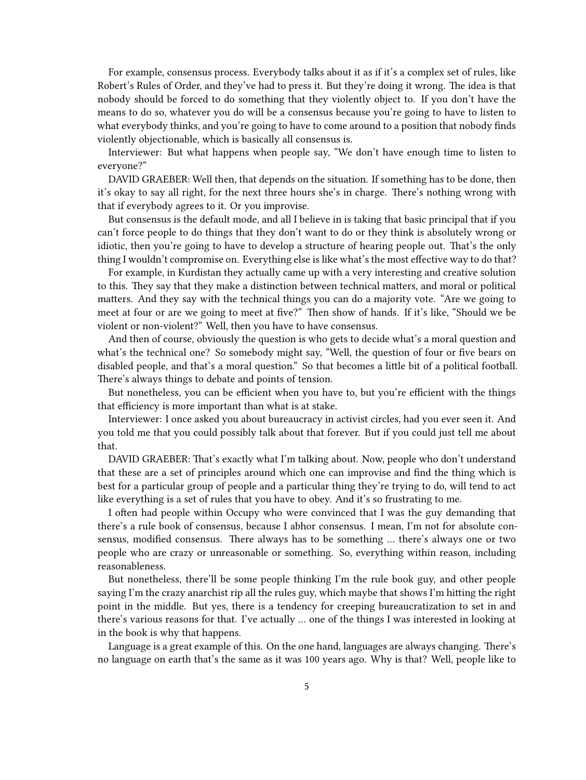For example, consensus process. Everybody talks about it as if it's a complex set of rules, like Robert's Rules of Order, and they've had to press it. But they're doing it wrong. The idea is that nobody should be forced to do something that they violently object to. If you don't have the means to do so, whatever you do will be a consensus because you're going to have to listen to what everybody thinks, and you're going to have to come around to a position that nobody finds violently objectionable, which is basically all consensus is.

Interviewer: But what happens when people say, "We don't have enough time to listen to everyone?"

DAVID GRAEBER: Well then, that depends on the situation. If something has to be done, then it's okay to say all right, for the next three hours she's in charge. There's nothing wrong with that if everybody agrees to it. Or you improvise.

But consensus is the default mode, and all I believe in is taking that basic principal that if you can't force people to do things that they don't want to do or they think is absolutely wrong or idiotic, then you're going to have to develop a structure of hearing people out. That's the only thing I wouldn't compromise on. Everything else is like what's the most effective way to do that?

For example, in Kurdistan they actually came up with a very interesting and creative solution to this. They say that they make a distinction between technical matters, and moral or political matters. And they say with the technical things you can do a majority vote. "Are we going to meet at four or are we going to meet at five?" Then show of hands. If it's like, "Should we be violent or non-violent?" Well, then you have to have consensus.

And then of course, obviously the question is who gets to decide what's a moral question and what's the technical one? So somebody might say, "Well, the question of four or five bears on disabled people, and that's a moral question." So that becomes a little bit of a political football. There's always things to debate and points of tension.

But nonetheless, you can be efficient when you have to, but you're efficient with the things that efficiency is more important than what is at stake.

Interviewer: I once asked you about bureaucracy in activist circles, had you ever seen it. And you told me that you could possibly talk about that forever. But if you could just tell me about that.

DAVID GRAEBER: That's exactly what I'm talking about. Now, people who don't understand that these are a set of principles around which one can improvise and find the thing which is best for a particular group of people and a particular thing they're trying to do, will tend to act like everything is a set of rules that you have to obey. And it's so frustrating to me.

I often had people within Occupy who were convinced that I was the guy demanding that there's a rule book of consensus, because I abhor consensus. I mean, I'm not for absolute consensus, modified consensus. There always has to be something … there's always one or two people who are crazy or unreasonable or something. So, everything within reason, including reasonableness.

But nonetheless, there'll be some people thinking I'm the rule book guy, and other people saying I'm the crazy anarchist rip all the rules guy, which maybe that shows I'm hitting the right point in the middle. But yes, there is a tendency for creeping bureaucratization to set in and there's various reasons for that. I've actually … one of the things I was interested in looking at in the book is why that happens.

Language is a great example of this. On the one hand, languages are always changing. There's no language on earth that's the same as it was 100 years ago. Why is that? Well, people like to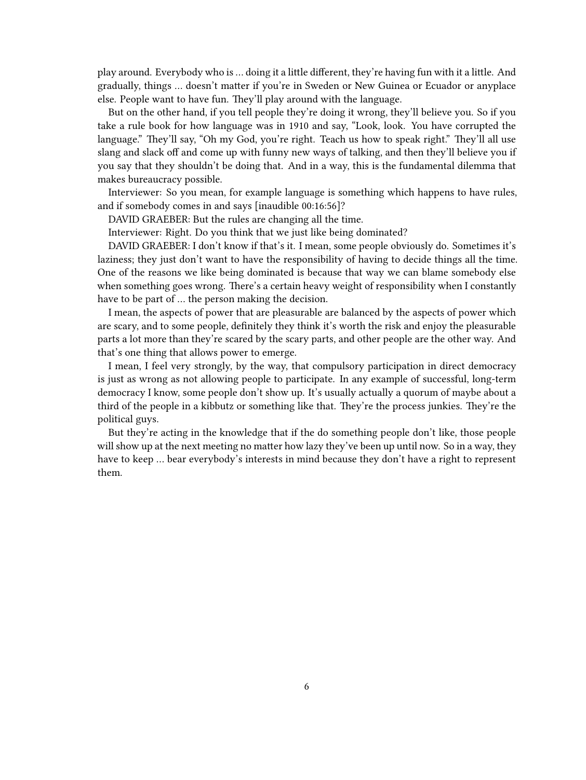play around. Everybody who is … doing it a little different, they're having fun with it a little. And gradually, things … doesn't matter if you're in Sweden or New Guinea or Ecuador or anyplace else. People want to have fun. They'll play around with the language.

But on the other hand, if you tell people they're doing it wrong, they'll believe you. So if you take a rule book for how language was in 1910 and say, "Look, look. You have corrupted the language." They'll say, "Oh my God, you're right. Teach us how to speak right." They'll all use slang and slack off and come up with funny new ways of talking, and then they'll believe you if you say that they shouldn't be doing that. And in a way, this is the fundamental dilemma that makes bureaucracy possible.

Interviewer: So you mean, for example language is something which happens to have rules, and if somebody comes in and says [inaudible 00:16:56]?

DAVID GRAEBER: But the rules are changing all the time.

Interviewer: Right. Do you think that we just like being dominated?

DAVID GRAEBER: I don't know if that's it. I mean, some people obviously do. Sometimes it's laziness; they just don't want to have the responsibility of having to decide things all the time. One of the reasons we like being dominated is because that way we can blame somebody else when something goes wrong. There's a certain heavy weight of responsibility when I constantly have to be part of … the person making the decision.

I mean, the aspects of power that are pleasurable are balanced by the aspects of power which are scary, and to some people, definitely they think it's worth the risk and enjoy the pleasurable parts a lot more than they're scared by the scary parts, and other people are the other way. And that's one thing that allows power to emerge.

I mean, I feel very strongly, by the way, that compulsory participation in direct democracy is just as wrong as not allowing people to participate. In any example of successful, long-term democracy I know, some people don't show up. It's usually actually a quorum of maybe about a third of the people in a kibbutz or something like that. They're the process junkies. They're the political guys.

But they're acting in the knowledge that if the do something people don't like, those people will show up at the next meeting no matter how lazy they've been up until now. So in a way, they have to keep … bear everybody's interests in mind because they don't have a right to represent them.